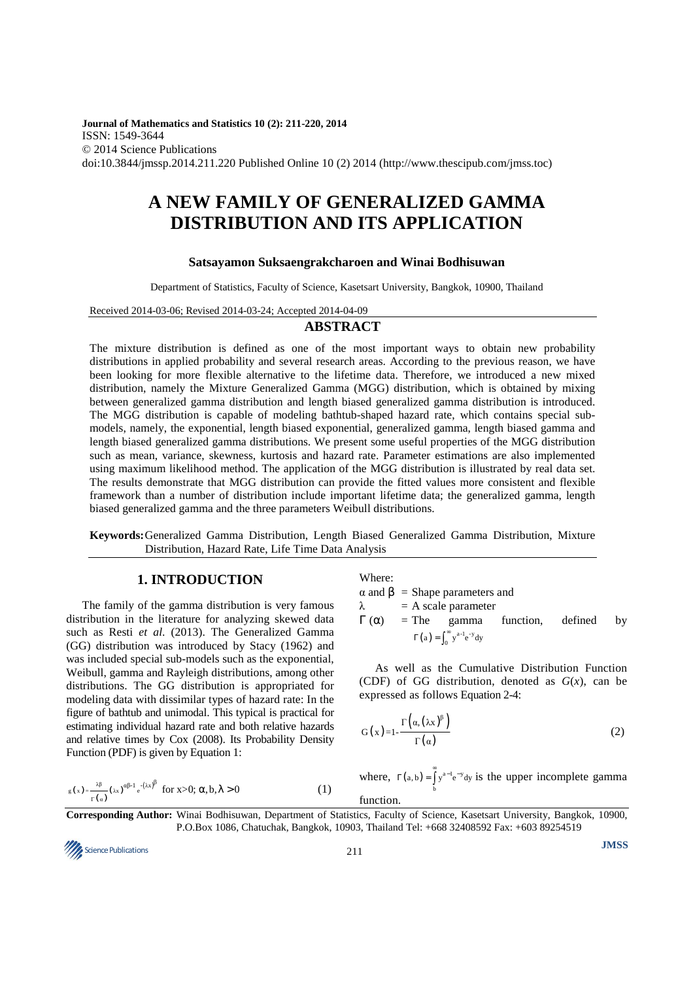**Journal of Mathematics and Statistics 10 (2): 211-220, 2014**  ISSN: 1549-3644 © 2014 Science Publications doi:10.3844/jmssp.2014.211.220 Published Online 10 (2) 2014 (http://www.thescipub.com/jmss.toc)

# **A NEW FAMILY OF GENERALIZED GAMMA DISTRIBUTION AND ITS APPLICATION**

#### **Satsayamon Suksaengrakcharoen and Winai Bodhisuwan**

Department of Statistics, Faculty of Science, Kasetsart University, Bangkok, 10900, Thailand

Received 2014-03-06; Revised 2014-03-24; Accepted 2014-04-09

#### **ABSTRACT**

The mixture distribution is defined as one of the most important ways to obtain new probability distributions in applied probability and several research areas. According to the previous reason, we have been looking for more flexible alternative to the lifetime data. Therefore, we introduced a new mixed distribution, namely the Mixture Generalized Gamma (MGG) distribution, which is obtained by mixing between generalized gamma distribution and length biased generalized gamma distribution is introduced. The MGG distribution is capable of modeling bathtub-shaped hazard rate, which contains special submodels, namely, the exponential, length biased exponential, generalized gamma, length biased gamma and length biased generalized gamma distributions. We present some useful properties of the MGG distribution such as mean, variance, skewness, kurtosis and hazard rate. Parameter estimations are also implemented using maximum likelihood method. The application of the MGG distribution is illustrated by real data set. The results demonstrate that MGG distribution can provide the fitted values more consistent and flexible framework than a number of distribution include important lifetime data; the generalized gamma, length biased generalized gamma and the three parameters Weibull distributions.

**Keywords:** Generalized Gamma Distribution, Length Biased Generalized Gamma Distribution, Mixture Distribution, Hazard Rate, Life Time Data Analysis

# **1. INTRODUCTION**

The family of the gamma distribution is very famous distribution in the literature for analyzing skewed data such as Resti *et al*. (2013). The Generalized Gamma (GG) distribution was introduced by Stacy (1962) and was included special sub-models such as the exponential, Weibull, gamma and Rayleigh distributions, among other distributions. The GG distribution is appropriated for modeling data with dissimilar types of hazard rate: In the figure of bathtub and unimodal. This typical is practical for estimating individual hazard rate and both relative hazards and relative times by Cox (2008). Its Probability Density Function (PDF) is given by Equation 1:

$$
g(x) = \frac{\lambda \beta}{\Gamma(\alpha)} (\lambda x)^{\alpha \beta - 1} e^{-(\lambda x)^{\beta}} \text{ for } x > 0; \ \alpha, b, \lambda > 0
$$
 (1)

Where:

$$
\alpha
$$
 and  $\beta$  = Shape parameters and  
\n $\lambda$  = A scale parameter  
\n $\Gamma(\alpha)$  = The gamma function, defined by  
\n
$$
\Gamma(a) = \int_0^\infty y^{a-1} e^{-y} dy
$$

As well as the Cumulative Distribution Function (CDF) of GG distribution, denoted as  $G(x)$ , can be expressed as follows Equation 2-4:

$$
G(x)=1-\frac{\Gamma\left(\alpha,\left(\lambda x\right)^{\beta}\right)}{\Gamma\left(\alpha\right)}
$$
\n(2)

where,  $\Gamma(a, b) = \int_b y^{a-1} e^{-y}$  $\Gamma(a, b) = \int_a^{\infty} y^{a-1} e^{-y} dy$  is the upper incomplete gamma function.

**Corresponding Author:** Winai Bodhisuwan, Department of Statistics, Faculty of Science, Kasetsart University, Bangkok, 10900, P.O.Box 1086, Chatuchak, Bangkok, 10903, Thailand Tel: +668 32408592 Fax: +603 89254519

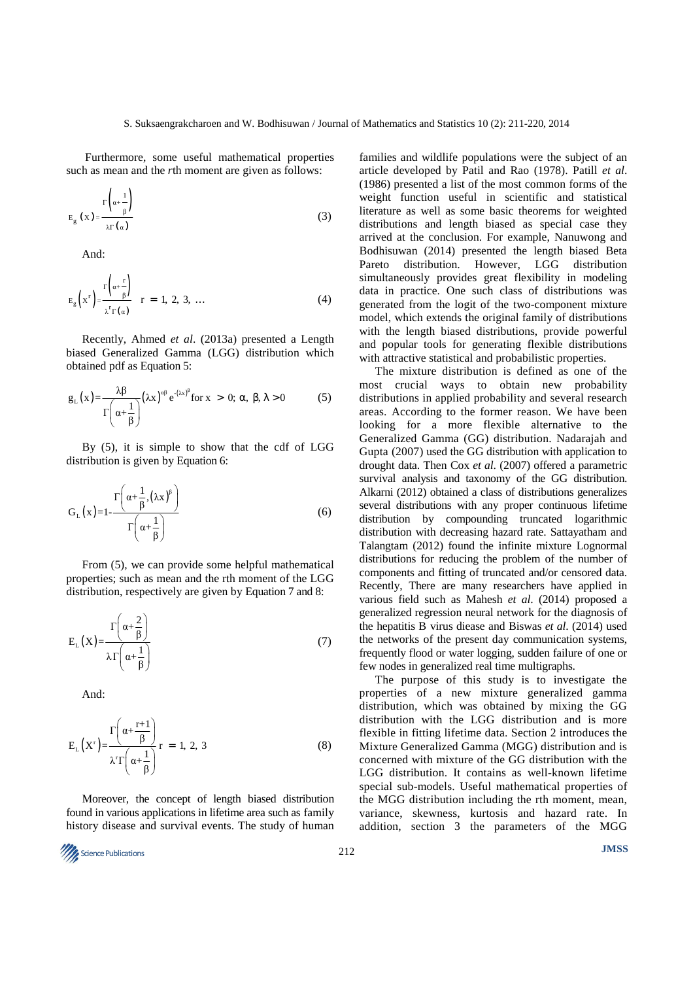Furthermore, some useful mathematical properties such as mean and the *r*th moment are given as follows:

$$
E_{g}(x) = \frac{\Gamma\left(\alpha + \frac{1}{\beta}\right)}{\lambda \Gamma(\alpha)}
$$
\n(3)

And:

$$
E_g\left(x^r\right) = \frac{\Gamma\left(\alpha + \frac{r}{\beta}\right)}{\lambda^r \Gamma(\alpha)} \quad r = 1, 2, 3, \dots \tag{4}
$$

Recently, Ahmed *et al*. (2013a) presented a Length biased Generalized Gamma (LGG) distribution which obtained pdf as Equation 5:

$$
g_{L}(x) = \frac{\lambda \beta}{\Gamma\left(\alpha + \frac{1}{\beta}\right)} (\lambda x)^{\alpha \beta} e^{-(\lambda x)^{\beta}} \text{ for } x > 0; \alpha, \beta, \lambda > 0 \tag{5}
$$

By (5), it is simple to show that the cdf of LGG distribution is given by Equation 6:

$$
G_{L}(x)=1-\frac{\Gamma\left(\alpha+\frac{1}{\beta},\left(\lambda x\right)^{\beta}\right)}{\Gamma\left(\alpha+\frac{1}{\beta}\right)}
$$
\n(6)

From (5), we can provide some helpful mathematical properties; such as mean and the rth moment of the LGG distribution, respectively are given by Equation 7 and 8:

$$
E_{L}(X) = \frac{\Gamma\left(\alpha + \frac{2}{\beta}\right)}{\lambda \Gamma\left(\alpha + \frac{1}{\beta}\right)}
$$
(7)

And:

$$
E_{L}(X^{r}) = \frac{\Gamma\left(\alpha + \frac{r+1}{\beta}\right)}{\lambda^{r}\Gamma\left(\alpha + \frac{1}{\beta}\right)} r = 1, 2, 3
$$
 (8)

Moreover, the concept of length biased distribution found in various applications in lifetime area such as family history disease and survival events. The study of human families and wildlife populations were the subject of an article developed by Patil and Rao (1978). Patill *et al*. (1986) presented a list of the most common forms of the weight function useful in scientific and statistical literature as well as some basic theorems for weighted distributions and length biased as special case they arrived at the conclusion. For example, Nanuwong and Bodhisuwan (2014) presented the length biased Beta Pareto distribution. However, LGG distribution simultaneously provides great flexibility in modeling data in practice. One such class of distributions was generated from the logit of the two-component mixture model, which extends the original family of distributions with the length biased distributions, provide powerful and popular tools for generating flexible distributions with attractive statistical and probabilistic properties.

The mixture distribution is defined as one of the most crucial ways to obtain new probability distributions in applied probability and several research areas. According to the former reason. We have been looking for a more flexible alternative to the Generalized Gamma (GG) distribution. Nadarajah and Gupta (2007) used the GG distribution with application to drought data. Then Cox *et al*. (2007) offered a parametric survival analysis and taxonomy of the GG distribution. Alkarni (2012) obtained a class of distributions generalizes several distributions with any proper continuous lifetime distribution by compounding truncated logarithmic distribution with decreasing hazard rate. Sattayatham and Talangtam (2012) found the infinite mixture Lognormal distributions for reducing the problem of the number of components and fitting of truncated and/or censored data. Recently, There are many researchers have applied in various field such as Mahesh *et al*. (2014) proposed a generalized regression neural network for the diagnosis of the hepatitis B virus diease and Biswas *et al*. (2014) used the networks of the present day communication systems, frequently flood or water logging, sudden failure of one or few nodes in generalized real time multigraphs.

The purpose of this study is to investigate the properties of a new mixture generalized gamma distribution, which was obtained by mixing the GG distribution with the LGG distribution and is more flexible in fitting lifetime data. Section 2 introduces the Mixture Generalized Gamma (MGG) distribution and is concerned with mixture of the GG distribution with the LGG distribution. It contains as well-known lifetime special sub-models. Useful mathematical properties of the MGG distribution including the rth moment, mean, variance, skewness, kurtosis and hazard rate. In addition, section 3 the parameters of the MGG

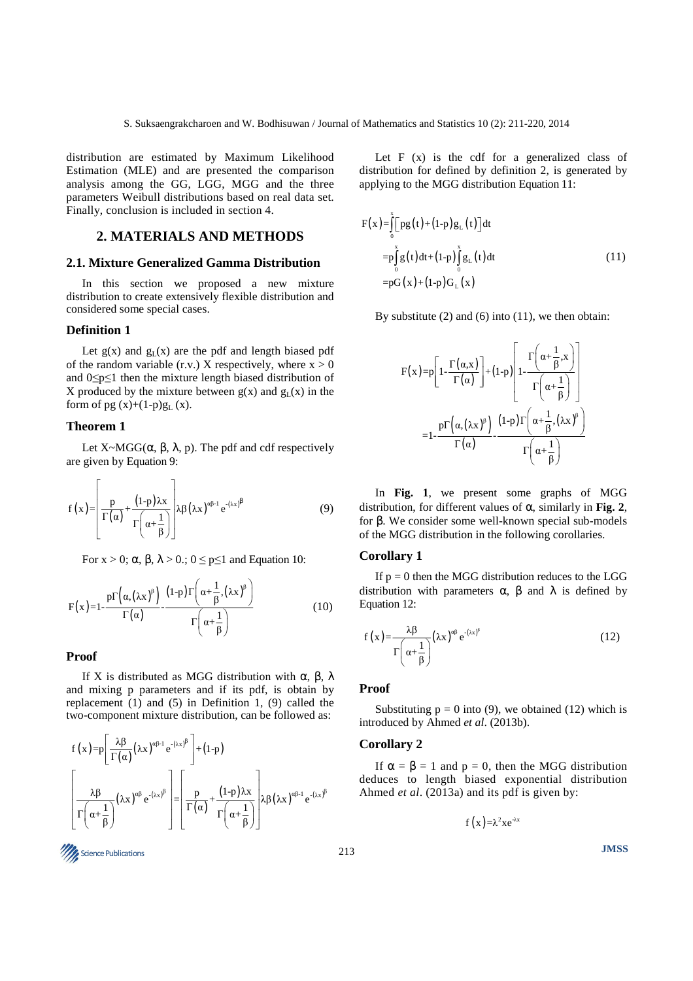distribution are estimated by Maximum Likelihood Estimation (MLE) and are presented the comparison analysis among the GG, LGG, MGG and the three parameters Weibull distributions based on real data set. Finally, conclusion is included in section 4.

# **2. MATERIALS AND METHODS**

### **2.1. Mixture Generalized Gamma Distribution**

In this section we proposed a new mixture distribution to create extensively flexible distribution and considered some special cases.

### **Definition 1**

Let  $g(x)$  and  $g(x)$  are the pdf and length biased pdf of the random variable (r.v.) X respectively, where  $x > 0$ and 0≤p≤1 then the mixture length biased distribution of X produced by the mixture between  $g(x)$  and  $g_L(x)$  in the form of pg  $(x)+(1-p)g<sub>L</sub>(x)$ .

## **Theorem 1**

Let  $X \sim MGG(\alpha, \beta, \lambda, p)$ . The pdf and cdf respectively are given by Equation 9:

$$
f(x) = \left[\frac{p}{\Gamma(\alpha)} + \frac{(1-p)\lambda x}{\Gamma(\alpha + \frac{1}{\beta})}\right] \lambda \beta (\lambda x)^{\alpha \beta - 1} e^{-(\lambda x)^{\beta}}
$$
(9)

For  $x > 0$ ;  $\alpha$ ,  $\beta$ ,  $\lambda > 0$ .;  $0 \le p \le 1$  and Equation 10:

$$
F(x)=1-\frac{p\Gamma\left(\alpha,\left(\lambda x\right)^{\beta}\right)}{\Gamma\left(\alpha\right)}-\frac{\left(1-p\right)\Gamma\left(\alpha+\frac{1}{\beta},\left(\lambda x\right)^{\beta}\right)}{\Gamma\left(\alpha+\frac{1}{\beta}\right)}
$$
(10)

#### **Proof**

If X is distributed as MGG distribution with α, β,  $\lambda$ and mixing p parameters and if its pdf, is obtain by replacement (1) and (5) in Definition 1, (9) called the two-component mixture distribution, can be followed as:

$$
f(x) = p \left[ \frac{\lambda \beta}{\Gamma(\alpha)} (\lambda x)^{\alpha \beta - 1} e^{-(\lambda x)^{\beta}} \right] + (1-p)
$$

$$
\left[ \frac{\lambda \beta}{\Gamma(\alpha + \frac{1}{\beta})} (\lambda x)^{\alpha \beta} e^{-(\lambda x)^{\beta}} \right] = \left[ \frac{p}{\Gamma(\alpha)} + \frac{(1-p)\lambda x}{\Gamma(\alpha + \frac{1}{\beta})} \right] \lambda \beta (\lambda x)^{\alpha \beta - 1} e^{-(\lambda x)^{\beta}}
$$

Let  $F(x)$  is the cdf for a generalized class of distribution for defined by definition 2, is generated by applying to the MGG distribution Equation 11:

$$
F(x) = \int_{0}^{x} [pg(t) + (1-p)g_{L}(t)]dt
$$
  
\n
$$
= p \int_{0}^{x} g(t)dt + (1-p) \int_{0}^{x} g_{L}(t)dt
$$
  
\n
$$
= pG(x) + (1-p)G_{L}(x)
$$
 (11)

By substitute  $(2)$  and  $(6)$  into  $(11)$ , we then obtain:

$$
F(x)=p\left[1-\frac{\Gamma(\alpha,x)}{\Gamma(\alpha)}\right]+(1-p)\left[1-\frac{\Gamma\left(\alpha+\frac{1}{\beta},x\right)}{\Gamma\left(\alpha+\frac{1}{\beta}\right)}\right]
$$

$$
=1-\frac{p\Gamma\left(\alpha,\left(\lambda x\right)^{\beta}\right)}{\Gamma(\alpha)}-\frac{(1-p)\Gamma\left(\alpha+\frac{1}{\beta},\left(\lambda x\right)^{\beta}\right)}{\Gamma\left(\alpha+\frac{1}{\beta}\right)}
$$

In **Fig. 1**, we present some graphs of MGG distribution, for different values of α, similarly in **Fig. 2**, for β. We consider some well-known special sub-models of the MGG distribution in the following corollaries.

#### **Corollary 1**

If  $p = 0$  then the MGG distribution reduces to the LGG distribution with parameters  $\alpha$ ,  $\beta$  and  $\lambda$  is defined by Equation 12:

$$
f(x) = \frac{\lambda \beta}{\Gamma\left(\alpha + \frac{1}{\beta}\right)} (\lambda x)^{\alpha \beta} e^{-(\lambda x)^{\beta}}
$$
 (12)

#### **Proof**

Substituting  $p = 0$  into (9), we obtained (12) which is introduced by Ahmed *et al*. (2013b).

#### **Corollary 2**

If  $\alpha = \beta = 1$  and  $p = 0$ , then the MGG distribution deduces to length biased exponential distribution Ahmed *et al*. (2013a) and its pdf is given by:

f (x)= $\lambda^2$ xe<sup>- $\lambda$ x</sup>

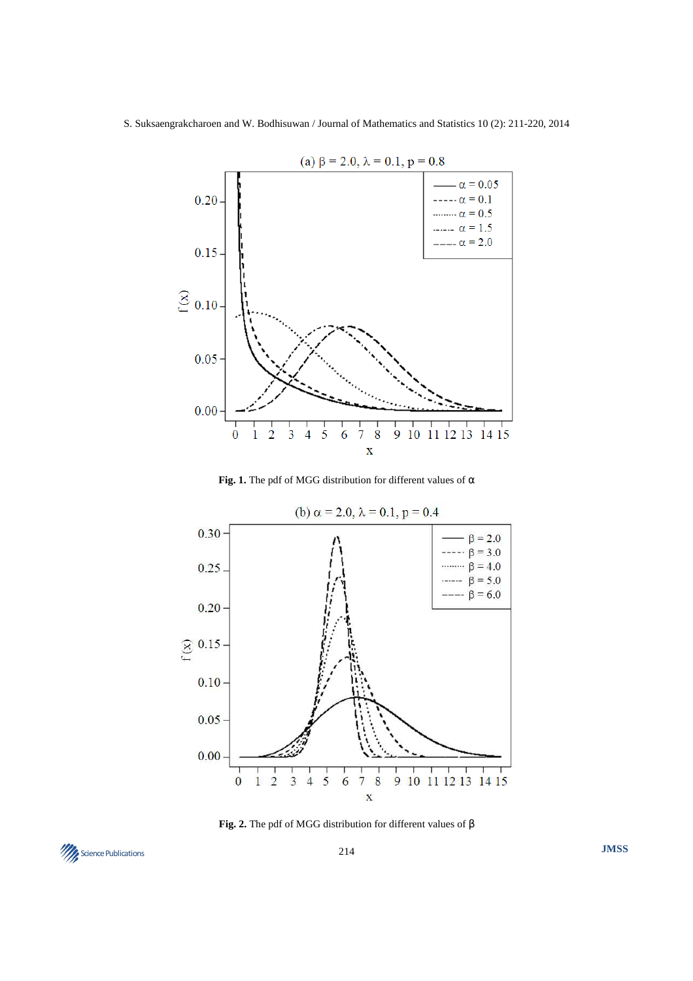S. Suksaengrakcharoen and W. Bodhisuwan / Journal of Mathematics and Statistics 10 (2): 211-220, 2014



Fig. 1. The pdf of MGG distribution for different values of  $\alpha$ 



**Fig. 2.** The pdf of MGG distribution for different values of β

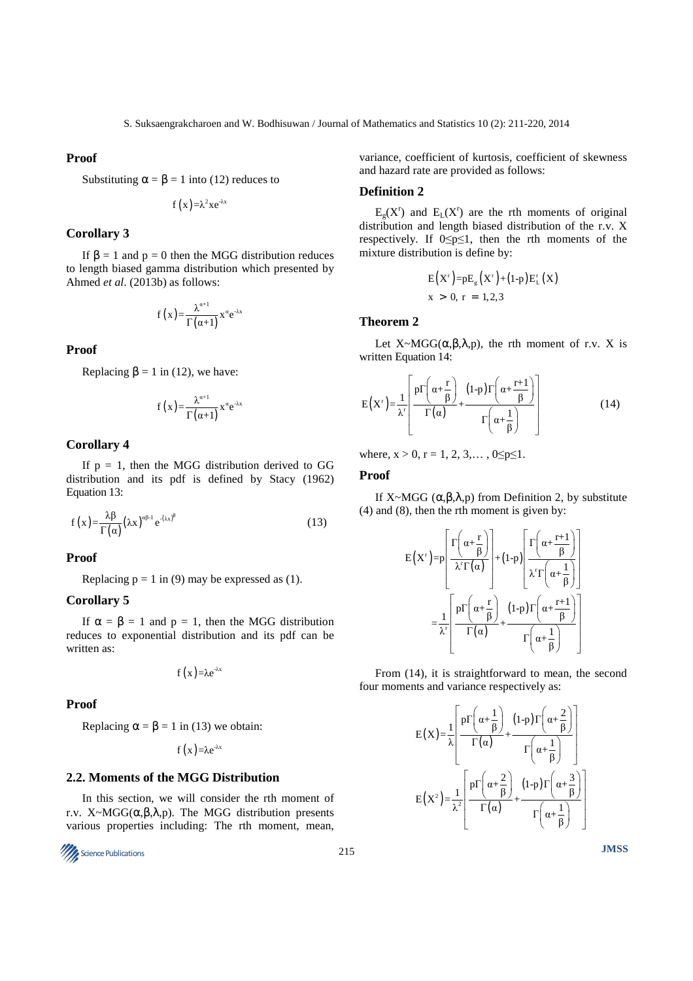#### **Proof**

Substituting 
$$
\alpha = \beta = 1
$$
 into (12) reduces to

$$
f(x) = \lambda^2 x e^{-\lambda x}
$$

#### **Corollary 3**

If  $β = 1$  and  $p = 0$  then the MGG distribution reduces to length biased gamma distribution which presented by Ahmed *et al*. (2013b) as follows:

$$
f(x) = \frac{\lambda^{\alpha+1}}{\Gamma(\alpha+1)} x^{\alpha} e^{-\lambda x}
$$

# **Proof**

Replacing  $\beta = 1$  in (12), we have:

$$
f(x) = \frac{\lambda^{\alpha+1}}{\Gamma(\alpha+1)} x^{\alpha} e^{-\lambda x}
$$

#### **Corollary 4**

If  $p = 1$ , then the MGG distribution derived to GG distribution and its pdf is defined by Stacy (1962) Equation 13:

$$
f(x) = \frac{\lambda \beta}{\Gamma(\alpha)} (\lambda x)^{\alpha \beta - 1} e^{-(\lambda x)^{\beta}}
$$
 (13)

#### **Proof**

Replacing  $p = 1$  in (9) may be expressed as (1).

#### **Corollary 5**

If  $\alpha = \beta = 1$  and  $p = 1$ , then the MGG distribution reduces to exponential distribution and its pdf can be written as:

$$
f(x) = \lambda e^{-\lambda x}
$$

#### **Proof**

Replacing  $\alpha = \beta = 1$  in (13) we obtain:

$$
f(x) = \lambda e^{-\lambda x}
$$

#### **2.2. Moments of the MGG Distribution**

In this section, we will consider the rth moment of r.v. X~MGG( $\alpha, \beta, \lambda, p$ ). The MGG distribution presents various properties including: The rth moment, mean,



variance, coefficient of kurtosis, coefficient of skewness and hazard rate are provided as follows:

#### **Definition 2**

 $E<sub>g</sub>(X<sup>r</sup>)$  and  $E<sub>L</sub>(X<sup>r</sup>)$  are the rth moments of original distribution and length biased distribution of the r.v. X respectively. If  $0 \le p \le 1$ , then the rth moments of the mixture distribution is define by:

$$
E(Xr) = pEg(Xr) + (1-p)ELr(X)
$$
  
x > 0, r = 1,2,3

#### **Theorem 2**

Let  $X \sim MGG(\alpha, \beta, \lambda, p)$ , the rth moment of r.v. X is written Equation 14:

$$
E(X^{r}) = \frac{1}{\lambda^{r}} \left[ \frac{p\Gamma\left(\alpha + \frac{r}{\beta}\right)}{\Gamma(\alpha)} + \frac{(1-p)\Gamma\left(\alpha + \frac{r+1}{\beta}\right)}{\Gamma\left(\alpha + \frac{1}{\beta}\right)} \right]
$$
(14)

where,  $x > 0$ ,  $r = 1, 2, 3, \ldots, 0 \le p \le 1$ .

#### **Proof**

If X~MGG  $(\alpha, \beta, \lambda, p)$  from Definition 2, by substitute (4) and (8), then the rth moment is given by:

$$
E(X^{r}) = p \left[ \frac{\Gamma\left(\alpha + \frac{r}{\beta}\right)}{\lambda^{r} \Gamma(\alpha)} \right] + (1-p) \left[ \frac{\Gamma\left(\alpha + \frac{r+1}{\beta}\right)}{\lambda^{r} \Gamma\left(\alpha + \frac{1}{\beta}\right)} \right]
$$

$$
= \frac{1}{\lambda^{r}} \left[ \frac{p \Gamma\left(\alpha + \frac{r}{\beta}\right)}{\Gamma(\alpha)} + \frac{(1-p) \Gamma\left(\alpha + \frac{r+1}{\beta}\right)}{\Gamma\left(\alpha + \frac{1}{\beta}\right)} \right]
$$

From (14), it is straightforward to mean, the second four moments and variance respectively as:

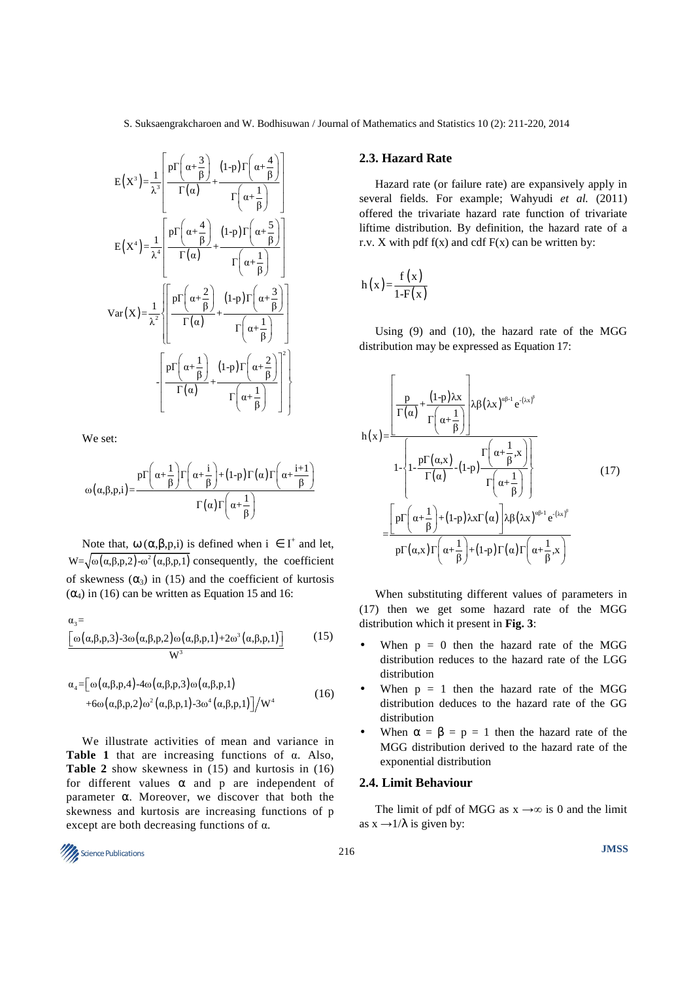S. Suksaengrakcharoen and W. Bodhisuwan / Journal of Mathematics and Statistics 10 (2): 211-220, 2014

$$
E(X^3) = \frac{1}{\lambda^3} \left[ \frac{p\Gamma\left(\alpha + \frac{3}{\beta}\right)}{\Gamma(\alpha)} + \frac{(1-p)\Gamma\left(\alpha + \frac{4}{\beta}\right)}{\Gamma\left(\alpha + \frac{1}{\beta}\right)} \right]
$$
  
\n
$$
E(X^4) = \frac{1}{\lambda^4} \left[ \frac{p\Gamma\left(\alpha + \frac{4}{\beta}\right)}{\Gamma(\alpha)} + \frac{(1-p)\Gamma\left(\alpha + \frac{5}{\beta}\right)}{\Gamma\left(\alpha + \frac{1}{\beta}\right)} \right]
$$
  
\n
$$
Var(X) = \frac{1}{\lambda^2} \left\{ \frac{p\Gamma\left(\alpha + \frac{2}{\beta}\right)}{\Gamma(\alpha)} + \frac{(1-p)\Gamma\left(\alpha + \frac{3}{\beta}\right)}{\Gamma\left(\alpha + \frac{1}{\beta}\right)} \right\}
$$
  
\n
$$
- \left[ \frac{p\Gamma\left(\alpha + \frac{1}{\beta}\right)}{\Gamma(\alpha)} + \frac{(1-p)\Gamma\left(\alpha + \frac{2}{\beta}\right)}{\Gamma\left(\alpha + \frac{1}{\beta}\right)} \right]^2 \right\}
$$

We set:

$$
\omega(\alpha,\beta,p,i) = \frac{p\Gamma\left(\alpha + \frac{1}{\beta}\right)\Gamma\left(\alpha + \frac{i}{\beta}\right) + (1-p)\Gamma(\alpha)\Gamma\left(\alpha + \frac{i+1}{\beta}\right)}{\Gamma(\alpha)\Gamma\left(\alpha + \frac{1}{\beta}\right)}
$$

Note that,  $\omega$  ( $\alpha$ , $\beta$ , $p$ , $i$ ) is defined when  $i \in I^+$  and let,  $W = \sqrt{\omega(\alpha, \beta, p, 2) - \omega^2(\alpha, \beta, p, 1)}$  consequently, the coefficient of skewness  $(\alpha_3)$  in (15) and the coefficient of kurtosis  $(\alpha_4)$  in (16) can be written as Equation 15 and 16:

$$
\frac{\alpha_3}{\omega} = \frac{\omega(\alpha, \beta, p, 3) - 3\omega(\alpha, \beta, p, 2)\omega(\alpha, \beta, p, 1) + 2\omega^3(\alpha, \beta, p, 1)}{W^3}
$$
(15)

$$
\alpha_4 = \left[ \omega(\alpha, \beta, p, 4) - 4\omega(\alpha, \beta, p, 3) \omega(\alpha, \beta, p, 1) + 6\omega(\alpha, \beta, p, 2) \omega^2(\alpha, \beta, p, 1) - 3\omega^4(\alpha, \beta, p, 1) \right] / W^4
$$
\n(16)

We illustrate activities of mean and variance in **Table 1** that are increasing functions of α. Also, **Table 2** show skewness in (15) and kurtosis in (16) for different values  $\alpha$  and p are independent of parameter α. Moreover, we discover that both the skewness and kurtosis are increasing functions of p except are both decreasing functions of α.

#### **2.3. Hazard Rate**

Hazard rate (or failure rate) are expansively apply in several fields. For example; Wahyudi *et al.* (2011) offered the trivariate hazard rate function of trivariate liftime distribution. By definition, the hazard rate of a r.v. X with pdf  $f(x)$  and cdf  $F(x)$  can be written by:

$$
h(x) = \frac{f(x)}{1 - F(x)}
$$

Using (9) and (10), the hazard rate of the MGG distribution may be expressed as Equation 17:

$$
h(x) = \frac{\left[\frac{p}{\Gamma(\alpha)} + \frac{(1-p)\lambda x}{\Gamma(\alpha + \frac{1}{\beta})}\right] \lambda \beta (\lambda x)^{\alpha \beta - 1} e^{-(\lambda x)^{\beta}}}{1 - \left\{1 - \frac{p\Gamma(\alpha, x)}{\Gamma(\alpha)} - (1-p)\frac{\Gamma(\alpha + \frac{1}{\beta}, x)}{\Gamma(\alpha + \frac{1}{\beta})}\right\}}\right]
$$
(17)
$$
= \frac{\left[p\Gamma(\alpha + \frac{1}{\beta}) + (1-p)\lambda x \Gamma(\alpha)\right] \lambda \beta (\lambda x)^{\alpha \beta - 1} e^{-(\lambda x)^{\beta}}}{p\Gamma(\alpha, x) \Gamma(\alpha + \frac{1}{\beta}) + (1-p)\Gamma(\alpha) \Gamma(\alpha + \frac{1}{\beta}, x)}
$$

When substituting different values of parameters in (17) then we get some hazard rate of the MGG distribution which it present in **Fig. 3**:

- When  $p = 0$  then the hazard rate of the MGG distribution reduces to the hazard rate of the LGG distribution
- When  $p = 1$  then the hazard rate of the MGG distribution deduces to the hazard rate of the GG distribution
- When  $\alpha = \beta = p = 1$  then the hazard rate of the MGG distribution derived to the hazard rate of the exponential distribution

# **2.4. Limit Behaviour**

The limit of pdf of MGG as  $x \rightarrow \infty$  is 0 and the limit as  $x \rightarrow 1/\lambda$  is given by:

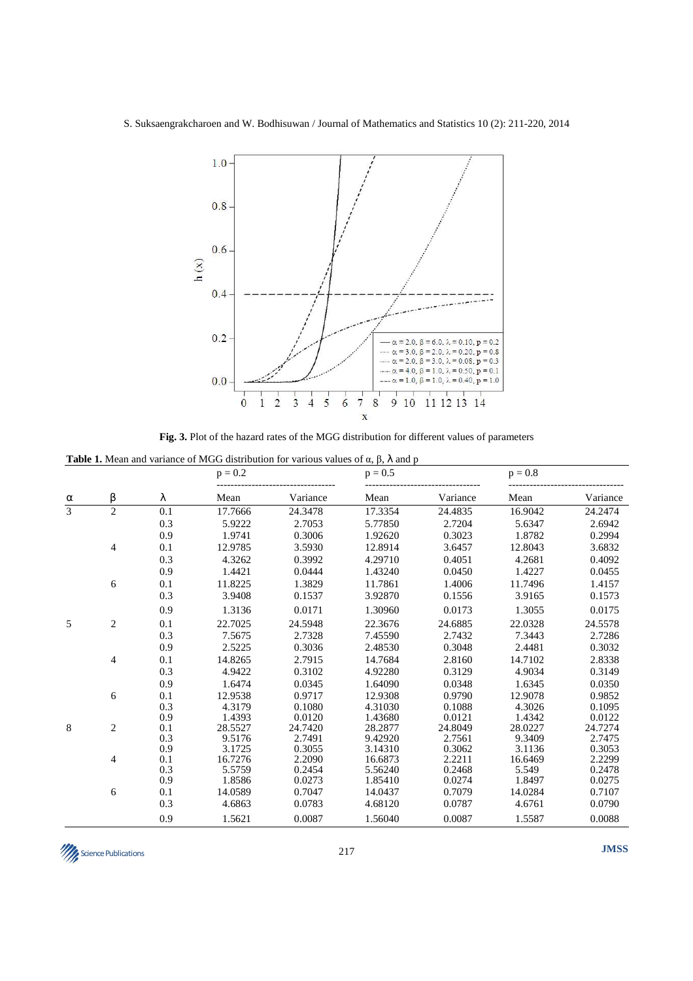S. Suksaengrakcharoen and W. Bodhisuwan / Journal of Mathematics and Statistics 10 (2): 211-220, 2014



**Fig. 3.** Plot of the hazard rates of the MGG distribution for different values of parameters

**Table 1.** Mean and variance of MGG distribution for various values of α, β, λ and p

|                | β              | λ   | $p = 0.2$ |          | $p = 0.5$ |          | $p = 0.8$ |          |
|----------------|----------------|-----|-----------|----------|-----------|----------|-----------|----------|
| $\alpha$       |                |     | Mean      | Variance | Mean      | Variance | Mean      | Variance |
| $\overline{3}$ | $\overline{2}$ | 0.1 | 17.7666   | 24.3478  | 17.3354   | 24.4835  | 16.9042   | 24.2474  |
|                |                | 0.3 | 5.9222    | 2.7053   | 5.77850   | 2.7204   | 5.6347    | 2.6942   |
|                |                | 0.9 | 1.9741    | 0.3006   | 1.92620   | 0.3023   | 1.8782    | 0.2994   |
|                | 4              | 0.1 | 12.9785   | 3.5930   | 12.8914   | 3.6457   | 12.8043   | 3.6832   |
|                |                | 0.3 | 4.3262    | 0.3992   | 4.29710   | 0.4051   | 4.2681    | 0.4092   |
|                |                | 0.9 | 1.4421    | 0.0444   | 1.43240   | 0.0450   | 1.4227    | 0.0455   |
|                | 6              | 0.1 | 11.8225   | 1.3829   | 11.7861   | 1.4006   | 11.7496   | 1.4157   |
|                |                | 0.3 | 3.9408    | 0.1537   | 3.92870   | 0.1556   | 3.9165    | 0.1573   |
|                |                | 0.9 | 1.3136    | 0.0171   | 1.30960   | 0.0173   | 1.3055    | 0.0175   |
| 5              | 2              | 0.1 | 22.7025   | 24.5948  | 22.3676   | 24.6885  | 22.0328   | 24.5578  |
|                |                | 0.3 | 7.5675    | 2.7328   | 7.45590   | 2.7432   | 7.3443    | 2.7286   |
|                |                | 0.9 | 2.5225    | 0.3036   | 2.48530   | 0.3048   | 2.4481    | 0.3032   |
|                | 4              | 0.1 | 14.8265   | 2.7915   | 14.7684   | 2.8160   | 14.7102   | 2.8338   |
|                |                | 0.3 | 4.9422    | 0.3102   | 4.92280   | 0.3129   | 4.9034    | 0.3149   |
|                |                | 0.9 | 1.6474    | 0.0345   | 1.64090   | 0.0348   | 1.6345    | 0.0350   |
|                | 6              | 0.1 | 12.9538   | 0.9717   | 12.9308   | 0.9790   | 12.9078   | 0.9852   |
|                |                | 0.3 | 4.3179    | 0.1080   | 4.31030   | 0.1088   | 4.3026    | 0.1095   |
|                |                | 0.9 | 1.4393    | 0.0120   | 1.43680   | 0.0121   | 1.4342    | 0.0122   |
| $\,8\,$        | $\overline{c}$ | 0.1 | 28.5527   | 24.7420  | 28.2877   | 24.8049  | 28.0227   | 24.7274  |
|                |                | 0.3 | 9.5176    | 2.7491   | 9.42920   | 2.7561   | 9.3409    | 2.7475   |
|                |                | 0.9 | 3.1725    | 0.3055   | 3.14310   | 0.3062   | 3.1136    | 0.3053   |
|                | 4              | 0.1 | 16.7276   | 2.2090   | 16.6873   | 2.2211   | 16.6469   | 2.2299   |
|                |                | 0.3 | 5.5759    | 0.2454   | 5.56240   | 0.2468   | 5.549     | 0.2478   |
|                |                | 0.9 | 1.8586    | 0.0273   | 1.85410   | 0.0274   | 1.8497    | 0.0275   |
|                | 6              | 0.1 | 14.0589   | 0.7047   | 14.0437   | 0.7079   | 14.0284   | 0.7107   |
|                |                | 0.3 | 4.6863    | 0.0783   | 4.68120   | 0.0787   | 4.6761    | 0.0790   |
|                |                | 0.9 | 1.5621    | 0.0087   | 1.56040   | 0.0087   | 1.5587    | 0.0088   |

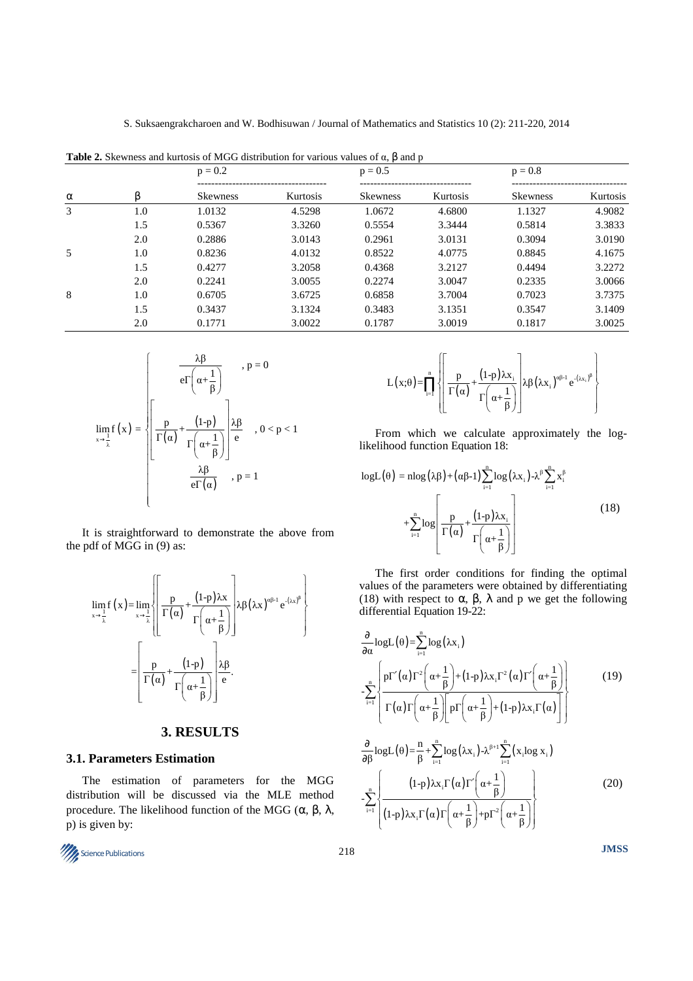**Table 2.** Skewness and kurtosis of MGG distribution for various values of  $α$ ,  $β$  and  $p$ 

| $\alpha$ |     | $p = 0.2$       |          | $p = 0.5$       |                 | $p = 0.8$       |                 |
|----------|-----|-----------------|----------|-----------------|-----------------|-----------------|-----------------|
|          |     | <b>Skewness</b> | Kurtosis | <b>Skewness</b> | <b>Kurtosis</b> | <b>Skewness</b> | <b>Kurtosis</b> |
| 3        | 1.0 | 1.0132          | 4.5298   | 1.0672          | 4.6800          | 1.1327          | 4.9082          |
|          | 1.5 | 0.5367          | 3.3260   | 0.5554          | 3.3444          | 0.5814          | 3.3833          |
|          | 2.0 | 0.2886          | 3.0143   | 0.2961          | 3.0131          | 0.3094          | 3.0190          |
| 5        | 1.0 | 0.8236          | 4.0132   | 0.8522          | 4.0775          | 0.8845          | 4.1675          |
|          | 1.5 | 0.4277          | 3.2058   | 0.4368          | 3.2127          | 0.4494          | 3.2272          |
|          | 2.0 | 0.2241          | 3.0055   | 0.2274          | 3.0047          | 0.2335          | 3.0066          |
| 8        | 1.0 | 0.6705          | 3.6725   | 0.6858          | 3.7004          | 0.7023          | 3.7375          |
|          | 1.5 | 0.3437          | 3.1324   | 0.3483          | 3.1351          | 0.3547          | 3.1409          |
|          | 2.0 | 0.1771          | 3.0022   | 0.1787          | 3.0019          | 0.1817          | 3.0025          |

$$
\lim_{x \to \frac{1}{\lambda}} f(x) = \sqrt{\frac{p}{\Gamma(\alpha)} + \frac{(1-p)}{\Gamma(\alpha + \frac{1}{\beta})}} \begin{cases} p & , p = 0 \\ \frac{p}{\Gamma(\alpha)} + \frac{(1-p)}{\Gamma(\alpha + \frac{1}{\beta})} & , 0 < p < 1 \\ \frac{\lambda \beta}{e\Gamma(\alpha)} & , p = 1 \end{cases}
$$

It is straightforward to demonstrate the above from the pdf of MGG in (9) as:

$$
\lim_{x \to \frac{1}{\lambda}} f(x) = \lim_{x \to \frac{1}{\lambda}} \left\{ \frac{p}{\Gamma(\alpha)} + \frac{(1-p)\lambda x}{\Gamma(\alpha + \frac{1}{\beta})} \right\} \lambda \beta (\lambda x)^{\alpha \beta - 1} e^{-(\lambda x)^{\beta}} \right\}
$$

$$
= \left[ \frac{p}{\Gamma(\alpha)} + \frac{(1-p)}{\Gamma(\alpha + \frac{1}{\beta})} \right] \frac{\lambda \beta}{e}.
$$

# **3. RESULTS**

# **3.1. Parameters Estimation**

The estimation of parameters for the MGG distribution will be discussed via the MLE method procedure. The likelihood function of the MGG (α, β, λ, p) is given by:



$$
L(x; \theta) = \prod_{i=1}^{n} \left\{ \left[ \frac{p}{\Gamma(\alpha)} + \frac{(1-p)\lambda x_i}{\Gamma(\alpha + \frac{1}{\beta})} \right] \lambda \beta (\lambda x_i)^{\alpha \beta - 1} e^{-(\lambda x_i)^{\beta}} \right\}
$$

From which we calculate approximately the loglikelihood function Equation 18:

$$
logL(\theta) = nlog(\lambda \beta) + (\alpha \beta - 1) \sum_{i=1}^{n} log(\lambda x_i) - \lambda^{\beta} \sum_{i=1}^{n} x_i^{\beta}
$$
  
+
$$
\sum_{i=1}^{n} log \left[ \frac{p}{\Gamma(\alpha)} + \frac{(1-p)\lambda x_i}{\Gamma(\alpha + \frac{1}{\beta})} \right]
$$
(18)

The first order conditions for finding the optimal values of the parameters were obtained by differentiating (18) with respect to  $\alpha$ ,  $\beta$ ,  $\lambda$  and p we get the following differential Equation 19-22:

$$
\frac{\partial}{\partial \alpha} \log L(\theta) = \sum_{i=1}^{n} \log (\lambda x_{i})
$$
\n
$$
-\sum_{i=1}^{n} \frac{pT'(\alpha)T^{2}(\alpha + \frac{1}{\beta}) + (1-p)\lambda x_{i}T^{2}(\alpha)T'(\alpha + \frac{1}{\beta})}{\Gamma(\alpha)\Gamma(\alpha + \frac{1}{\beta})\Gamma(\alpha + \frac{1}{\beta}) + (1-p)\lambda x_{i}\Gamma(\alpha)}\right]
$$
\n(19)

$$
\frac{\partial}{\partial \beta} \log L(\theta) = \frac{n}{\beta} + \sum_{i=1}^{n} \log(\lambda x_i) - \lambda^{\beta+1} \sum_{i=1}^{n} (x_i \log x_i)
$$
\n
$$
-\sum_{i=1}^{n} \left\{ \frac{(1-p)\lambda x_i \Gamma(\alpha) \Gamma'\left(\alpha + \frac{1}{\beta}\right)}{(1-p)\lambda x_i \Gamma(\alpha) \Gamma\left(\alpha + \frac{1}{\beta}\right) + p\Gamma^2\left(\alpha + \frac{1}{\beta}\right)} \right\}
$$
\n(20)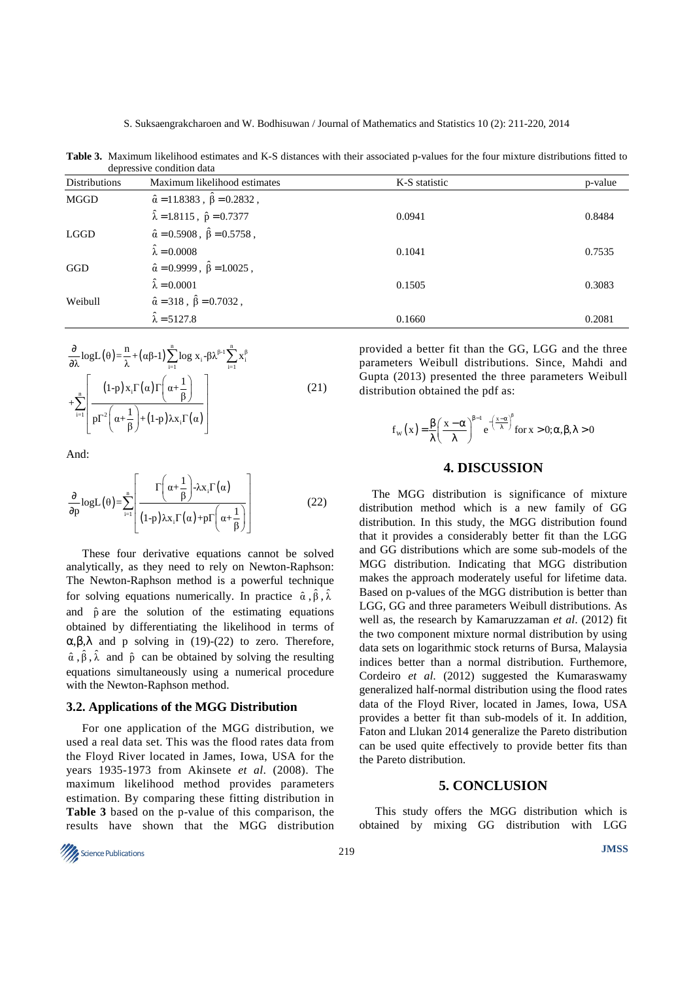**Table 3.** Maximum likelihood estimates and K-S distances with their associated p-values for the four mixture distributions fitted to depressive condition data

| <b>Distributions</b> | Maximum likelihood estimates                        | K-S statistic | p-value |  |  |  |  |
|----------------------|-----------------------------------------------------|---------------|---------|--|--|--|--|
| MGGD                 | $\hat{\alpha} = 11.8383$ , $\hat{\beta} = 0.2832$ , |               |         |  |  |  |  |
|                      | $\hat{\lambda} = 1.8115$ , $\hat{p} = 0.7377$       | 0.0941        | 0.8484  |  |  |  |  |
| <b>LGGD</b>          | $\hat{\alpha} = 0.5908$ , $\hat{\beta} = 0.5758$ ,  |               |         |  |  |  |  |
|                      | $\hat{\lambda} = 0.0008$                            | 0.1041        | 0.7535  |  |  |  |  |
| GGD                  | $\hat{\alpha} = 0.9999$ , $\hat{\beta} = 1.0025$ ,  |               |         |  |  |  |  |
|                      | $\hat{\lambda} = 0.0001$                            | 0.1505        | 0.3083  |  |  |  |  |
| Weibull              | $\hat{\alpha} = 318$ , $\hat{\beta} = 0.7032$ ,     |               |         |  |  |  |  |
|                      | $\hat{\lambda} = 5127.8$                            | 0.1660        | 0.2081  |  |  |  |  |

$$
\frac{\partial}{\partial \lambda} \log L(\theta) = \frac{n}{\lambda} + (\alpha \beta - 1) \sum_{i=1}^{n} \log x_i - \beta \lambda^{\beta - 1} \sum_{i=1}^{n} x_i^{\beta}
$$
\n
$$
+ \sum_{i=1}^{n} \left[ \frac{(1-p) x_i \Gamma(\alpha) \Gamma(\alpha + \frac{1}{\beta})}{p \Gamma^2(\alpha + \frac{1}{\beta}) + (1-p) \lambda x_i \Gamma(\alpha)} \right] \tag{21}
$$

And:

$$
\frac{\partial}{\partial p} \log L(\theta) = \sum_{i=1}^{n} \left[ \frac{\Gamma\left(\alpha + \frac{1}{\beta}\right) - \lambda x_i \Gamma(\alpha)}{(1 - p) \lambda x_i \Gamma(\alpha) + p \Gamma\left(\alpha + \frac{1}{\beta}\right)} \right]
$$
(22)

These four derivative equations cannot be solved analytically, as they need to rely on Newton-Raphson: The Newton-Raphson method is a powerful technique for solving equations numerically. In practice  $\hat{\alpha}$ ,  $\hat{\beta}$ ,  $\hat{\lambda}$ and  $\hat{p}$  are the solution of the estimating equations obtained by differentiating the likelihood in terms of α,β,λ and p solving in (19)-(22) to zero. Therefore,  $\hat{\alpha}$ ,  $\hat{\beta}$ ,  $\hat{\lambda}$  and  $\hat{p}$  can be obtained by solving the resulting equations simultaneously using a numerical procedure with the Newton-Raphson method.

#### **3.2. Applications of the MGG Distribution**

For one application of the MGG distribution, we used a real data set. This was the flood rates data from the Floyd River located in James, Iowa, USA for the years 1935-1973 from Akinsete *et al*. (2008). The maximum likelihood method provides parameters estimation. By comparing these fitting distribution in **Table 3** based on the p-value of this comparison, the results have shown that the MGG distribution

provided a better fit than the GG, LGG and the three parameters Weibull distributions. Since, Mahdi and Gupta (2013) presented the three parameters Weibull distribution obtained the pdf as:

$$
f_{w}\left(x\right) = \frac{\beta}{\lambda} \left(\frac{x - \alpha}{\lambda}\right)^{\beta - 1} e^{-\left(\frac{x - \alpha}{\lambda}\right)^{\beta}} \text{for } x > 0; \alpha, \beta, \lambda > 0
$$

# **4. DISCUSSION**

The MGG distribution is significance of mixture distribution method which is a new family of GG distribution. In this study, the MGG distribution found that it provides a considerably better fit than the LGG and GG distributions which are some sub-models of the MGG distribution. Indicating that MGG distribution makes the approach moderately useful for lifetime data. Based on p-values of the MGG distribution is better than LGG, GG and three parameters Weibull distributions. As well as, the research by Kamaruzzaman *et al*. (2012) fit the two component mixture normal distribution by using data sets on logarithmic stock returns of Bursa, Malaysia indices better than a normal distribution. Furthemore, Cordeiro *et al*. (2012) suggested the Kumaraswamy generalized half-normal distribution using the flood rates data of the Floyd River, located in James, Iowa, USA provides a better fit than sub-models of it. In addition, Faton and Llukan 2014 generalize the Pareto distribution can be used quite effectively to provide better fits than the Pareto distribution.

# **5. CONCLUSION**

This study offers the MGG distribution which is obtained by mixing GG distribution with LGG